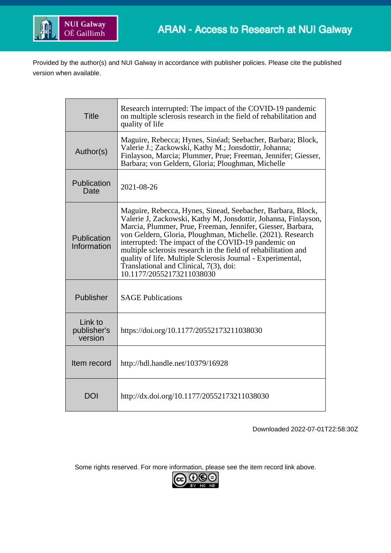

Provided by the author(s) and NUI Galway in accordance with publisher policies. Please cite the published version when available.

| <b>Title</b>                      | Research interrupted: The impact of the COVID-19 pandemic<br>on multiple sclerosis research in the field of rehabilitation and<br>quality of life                                                                                                                                                                                                                                                                                                                                                                         |
|-----------------------------------|---------------------------------------------------------------------------------------------------------------------------------------------------------------------------------------------------------------------------------------------------------------------------------------------------------------------------------------------------------------------------------------------------------------------------------------------------------------------------------------------------------------------------|
| Author(s)                         | Maguire, Rebecca; Hynes, Sinéad; Seebacher, Barbara; Block,<br>Valerie J.; Zackowski, Kathy M.; Jonsdottir, Johanna;<br>Finlayson, Marcia; Plummer, Prue; Freeman, Jennifer; Giesser,<br>Barbara; von Geldern, Gloria; Ploughman, Michelle                                                                                                                                                                                                                                                                                |
| Publication<br>Date               | 2021-08-26                                                                                                                                                                                                                                                                                                                                                                                                                                                                                                                |
| Publication<br>Information        | Maguire, Rebecca, Hynes, Sinead, Seebacher, Barbara, Block,<br>Valerie J, Zackowski, Kathy M, Jonsdottir, Johanna, Finlayson,<br>Marcia, Plummer, Prue, Freeman, Jennifer, Giesser, Barbara,<br>von Geldern, Gloria, Ploughman, Michelle. (2021). Research<br>interrupted: The impact of the COVID-19 pandemic on<br>multiple sclerosis research in the field of rehabilitation and<br>quality of life. Multiple Sclerosis Journal - Experimental,<br>Translational and Clinical, 7(3), doi:<br>10.1177/20552173211038030 |
| Publisher                         | <b>SAGE Publications</b>                                                                                                                                                                                                                                                                                                                                                                                                                                                                                                  |
| Link to<br>publisher's<br>version | https://doi.org/10.1177/20552173211038030                                                                                                                                                                                                                                                                                                                                                                                                                                                                                 |
| Item record                       | http://hdl.handle.net/10379/16928                                                                                                                                                                                                                                                                                                                                                                                                                                                                                         |
| <b>DOI</b>                        | http://dx.doi.org/10.1177/20552173211038030                                                                                                                                                                                                                                                                                                                                                                                                                                                                               |

Downloaded 2022-07-01T22:58:30Z

Some rights reserved. For more information, please see the item record link above.

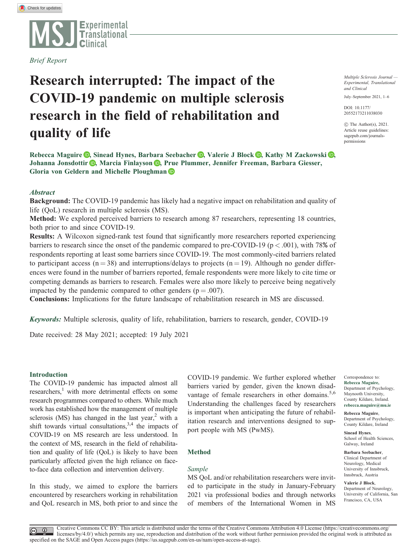

Brief Report

# Research interrupted: The impact of the COVID-19 pandemic on multiple sclerosis research in the field of rehabilitation and quality of life

Rebecca Maguire **D**[,](https://orcid.org/0000-0002-2399-5704) Sinead Hynes, Barbara Seebacher **D**, Valerie J Block **D**, Kathy M Zackowski **D**, Johanna Jonsdottir **D**[,](https://orcid.org/0000-0002-1774-4810) Marcia Finlayson **D**, Prue Plummer, Jennifer Freeman, Barbara Giesser, Gloria von Geldern and Michelle Ploughman

## **Abstract**

Background: The COVID-19 pandemic has likely had a negative impact on rehabilitation and quality of life (QoL) research in multiple sclerosis (MS).

Method: We explored perceived barriers to research among 87 researchers, representing 18 countries, both prior to and since COVID-19.

Results: A Wilcoxon signed-rank test found that significantly more researchers reported experiencing barriers to research since the onset of the pandemic compared to pre-COVID-19 ( $p < .001$ ), with 78% of respondents reporting at least some barriers since COVID-19. The most commonly-cited barriers related to participant access ( $n = 38$ ) and interruptions/delays to projects ( $n = 19$ ). Although no gender differences were found in the number of barriers reported, female respondents were more likely to cite time or competing demands as barriers to research. Females were also more likely to perceive being negatively impacted by the pandemic compared to other genders ( $p = .007$ ).

Conclusions: Implications for the future landscape of rehabilitation research in MS are discussed.

Keywords: Multiple sclerosis, quality of life, rehabilitation, barriers to research, gender, COVID-19

Date received: 28 May 2021; accepted: 19 July 2021

#### Introduction

The COVID-19 pandemic has impacted almost all researchers, $\frac{1}{1}$  with more detrimental effects on some research programmes compared to others. While much work has established how the management of multiple sclerosis (MS) has changed in the last year, $<sup>2</sup>$  with a</sup> shift towards virtual consultations, $3,4$  the impacts of COVID-19 on MS research are less understood. In the context of MS, research in the field of rehabilitation and quality of life (QoL) is likely to have been particularly affected given the high reliance on faceto-face data collection and intervention delivery.

In this study, we aimed to explore the barriers encountered by researchers working in rehabilitation and QoL research in MS, both prior to and since the COVID-19 pandemic. We further explored whether barriers varied by gender, given the known disadvantage of female researchers in other domains.<sup>5,6</sup> Understanding the challenges faced by researchers is important when anticipating the future of rehabilitation research and interventions designed to support people with MS (PwMS).

#### Method

#### Sample

MS QoL and/or rehabilitation researchers were invited to participate in the study in January-February 2021 via professional bodies and through networks of members of the International Women in MS

Multiple Sclerosis Journal — Experimental, Translational and Clinical

July–September 2021, 1–6

[DOI: 10.1177/](http://dx.doi.org/10.1177/20552173211038030) [20552173211038030](http://dx.doi.org/10.1177/20552173211038030)

 $\odot$  The Author(s), 2021. Article reuse guidelines: [sagepub.com/journals](http://uk.sagepub.com/en-gb/journals-permissions)[permissions](http://uk.sagepub.com/en-gb/journals-permissions)

Correspondence to: Rebecca Maguire, Department of Psychology, Maynooth University, County Kildare, Ireland. [rebecca.maguire@mu.ie](mailto:rebecca.maguire@mu.ie)

Rebecca Maguire, Department of Psychology, County Kildare, Ireland

Sinead Hynes, School of Health Sciences, Galway, Ireland

Barbara Seebacher, Clinical Department of Neurology, Medical University of Innsbruck, Innsbruck, Austria

Valerie J Block, Department of Neurology, University of California, San Francisco, CA, USA

Creative Commons CC BY: This article is distributed under the terms of the Creative Commons Attribution 4.0 License (https://creativecommons.org/  $\odot$ licenses/by/4.0/) which permits any use, reproduction and distribution of the work without further permission provided the original work is attributed as specified on the SAGE and Open Access pages (https://us.sagepub.com/en-us/nam/open-access-at-sage).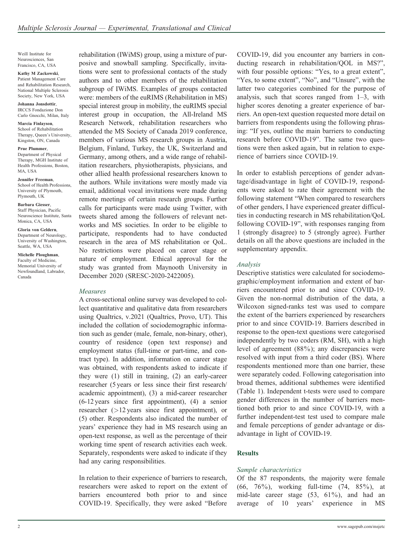Weill Institute for Neurosciences, San Francisco, CA, USA

Kathy M Zackowski, Patient Management Care and Rehabilitation Research, National Multiple Sclerosis Society, New York, USA

Johanna Jonsdottir, IRCCS Fondazione Don Carlo Gnocchi, Milan, Italy

Marcia Finlayson, School of Rehabilitation Therapy, Queen's University, Kingston, ON, Canada

Prue Plummer, Department of Physical Therapy, MGH Institute of Health Professions, Boston, MA, USA

Jennifer Freeman, School of Health Professions, University of Plymouth, Plymouth, UK

Barbara Giesser, Staff Physician, Pacific Neuroscience Institute, Santa Monica, CA, USA

Gloria von Geldern, Department of Neurology, University of Washington, Seattle, WA, USA

Michelle Ploughman, Faculty of Medicine, Memorial University of Newfoundland, Labrador, Canada

rehabilitation (IWiMS) group, using a mixture of purposive and snowball sampling. Specifically, invitations were sent to professional contacts of the study authors and to other members of the rehabilitation subgroup of IWiMS. Examples of groups contacted were: members of the euRIMS (Rehabilitation in MS) special interest group in mobility, the euRIMS special interest group in occupation, the All-Ireland MS Research Network, rehabilitation researchers who attended the MS Society of Canada 2019 conference, members of various MS research groups in Austria, Belgium, Finland, Turkey, the UK, Switzerland and Germany, among others, and a wide range of rehabilitation researchers, physiotherapists, physicians, and other allied health professional researchers known to the authors. While invitations were mostly made via email, additional vocal invitations were made during remote meetings of certain research groups. Further calls for participants were made using Twitter, with tweets shared among the followers of relevant networks and MS societies. In order to be eligible to participate, respondents had to have conducted research in the area of MS rehabilitation or QoL. No restrictions were placed on career stage or nature of employment. Ethical approval for the study was granted from Maynooth University in December 2020 (SRESC-2020-2422005).

#### Measures

A cross-sectional online survey was developed to collect quantitative and qualitative data from researchers using Qualtrics, v.2021 (Qualtrics, Provo, UT). This included the collation of sociodemographic information such as gender (male, female, non-binary, other), country of residence (open text response) and employment status (full-time or part-time, and contract type). In addition, information on career stage was obtained, with respondents asked to indicate if they were (1) still in training, (2) an early-career researcher (5 years or less since their first research/ academic appointment), (3) a mid-career researcher (6-12 years since first appointment), (4) a senior researcher (>12 years since first appointment), or (5) other. Respondents also indicated the number of years' experience they had in MS research using an open-text response, as well as the percentage of their working time spent of research activities each week. Separately, respondents were asked to indicate if they had any caring responsibilities.

In relation to their experience of barriers to research, researchers were asked to report on the extent of barriers encountered both prior to and since COVID-19. Specifically, they were asked "Before

COVID-19, did you encounter any barriers in conducting research in rehabilitation/QOL in MS?", with four possible options: "Yes, to a great extent", "Yes, to some extent", "No", and "Unsure", with the latter two categories combined for the purpose of analysis, such that scores ranged from 1–3, with higher scores denoting a greater experience of barriers. An open-text question requested more detail on barriers from respondents using the following phrasing: "If yes, outline the main barriers to conducting research before COVID-19". The same two questions were then asked again, but in relation to experience of barriers since COVID-19.

In order to establish perceptions of gender advantage/disadvantage in light of COVID-19, respondents were asked to rate their agreement with the following statement "When compared to researchers of other genders, I have experienced greater difficulties in conducting research in MS rehabilitation/QoL following COVID-19", with responses ranging from 1 (strongly disagree) to 5 (strongly agree). Further details on all the above questions are included in the supplementary appendix.

#### Analysis

Descriptive statistics were calculated for sociodemographic/employment information and extent of barriers encountered prior to and since COVID-19. Given the non-normal distribution of the data, a Wilcoxon signed-ranks test was used to compare the extent of the barriers experienced by researchers prior to and since COVID-19. Barriers described in response to the open-text questions were categorised independently by two coders (RM, SH), with a high level of agreement (88%); any discrepancies were resolved with input from a third coder (BS). Where respondents mentioned more than one barrier, these were separately coded. Following categorisation into broad themes, additional subthemes were identified (Table 1). Independent t-tests were used to compare gender differences in the number of barriers mentioned both prior to and since COVID-19, with a further independent-test test used to compare male and female perceptions of gender advantage or disadvantage in light of COVID-19.

#### **Results**

#### Sample characteristics

Of the 87 respondents, the majority were female (66, 76%), working full-time (74, 85%), at mid-late career stage (53, 61%), and had an average of 10 years' experience in MS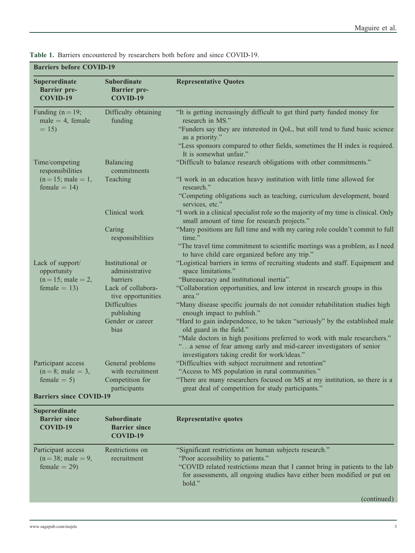|  |  | Table 1. Barriers encountered by researchers both before and since COVID-19. |  |  |  |  |  |  |  |  |
|--|--|------------------------------------------------------------------------------|--|--|--|--|--|--|--|--|
|--|--|------------------------------------------------------------------------------|--|--|--|--|--|--|--|--|

| <b>Barriers before COVID-19</b>                       |                                                       |                                                                                                                                                                                                                                                                                                             |  |  |  |
|-------------------------------------------------------|-------------------------------------------------------|-------------------------------------------------------------------------------------------------------------------------------------------------------------------------------------------------------------------------------------------------------------------------------------------------------------|--|--|--|
| Superordinate<br><b>Barrier</b> pre-<br>COVID-19      | <b>Subordinate</b><br><b>Barrier</b> pre-<br>COVID-19 | <b>Representative Quotes</b>                                                                                                                                                                                                                                                                                |  |  |  |
| Funding $(n = 19)$ ;<br>$male = 4$ , female<br>$= 15$ | Difficulty obtaining<br>funding                       | "It is getting increasingly difficult to get third party funded money for<br>research in MS."<br>"Funders say they are interested in QoL, but still tend to fund basic science<br>as a priority."<br>"Less sponsors compared to other fields, sometimes the H index is required.<br>It is somewhat unfair." |  |  |  |
| Time/competing<br>responsibilities                    | Balancing<br>commitments                              | "Difficult to balance research obligations with other commitments."                                                                                                                                                                                                                                         |  |  |  |
| $(n = 15;$ male = 1,<br>female = $14$ )               | Teaching                                              | "I work in an education heavy institution with little time allowed for<br>research."<br>"Competing obligations such as teaching, curriculum development, board<br>services, etc."                                                                                                                           |  |  |  |
|                                                       | Clinical work                                         | "I work in a clinical specialist role so the majority of my time is clinical. Only<br>small amount of time for research projects."                                                                                                                                                                          |  |  |  |
|                                                       | Caring<br>responsibilities                            | "Many positions are full time and with my caring role couldn't commit to full<br>time."<br>"The travel time commitment to scientific meetings was a problem, as I need<br>to have child care organized before any trip."                                                                                    |  |  |  |
| Lack of support/<br>opportunity                       | Institutional or<br>administrative                    | "Logistical barriers in terms of recruiting students and staff. Equipment and<br>space limitations."                                                                                                                                                                                                        |  |  |  |
| $(n = 15;$ male = 2,<br>$female = 13$                 | barriers<br>Lack of collabora-<br>tive opportunities  | "Bureaucracy and institutional inertia".<br>"Collaboration opportunities, and low interest in research groups in this<br>area."                                                                                                                                                                             |  |  |  |
|                                                       | <b>Difficulties</b><br>publishing                     | "Many disease specific journals do not consider rehabilitation studies high<br>enough impact to publish."                                                                                                                                                                                                   |  |  |  |
|                                                       | Gender or career<br>bias                              | "Hard to gain independence, to be taken "seriously" by the established male<br>old guard in the field."                                                                                                                                                                                                     |  |  |  |
|                                                       |                                                       | "Male doctors in high positions preferred to work with male researchers."<br>"a sense of fear among early and mid-career investigators of senior<br>investigators taking credit for work/ideas."                                                                                                            |  |  |  |
| Participant access                                    | General problems                                      | "Difficulties with subject recruitment and retention"                                                                                                                                                                                                                                                       |  |  |  |
| $(n = 8;$ male = 3,<br>female $= 5$ )                 | with recruitment<br>Competition for<br>participants   | "Access to MS population in rural communities."<br>"There are many researchers focused on MS at my institution, so there is a<br>great deal of competition for study participants."                                                                                                                         |  |  |  |
| <b>Barriers since COVID-19</b>                        |                                                       |                                                                                                                                                                                                                                                                                                             |  |  |  |
| <b>Superordinate</b>                                  |                                                       |                                                                                                                                                                                                                                                                                                             |  |  |  |

Barrier since COVID-19 Subordinate Barrier since COVID-19 Representative quotes Participant access  $(n = 38;$  male  $= 9,$  $female = 29$ Restrictions on recruitment "Significant restrictions on human subjects research." "Poor accessibility to patients." "COVID related restrictions mean that I cannot bring in patients to the lab for assessments, all ongoing studies have either been modified or put on hold."

(continued)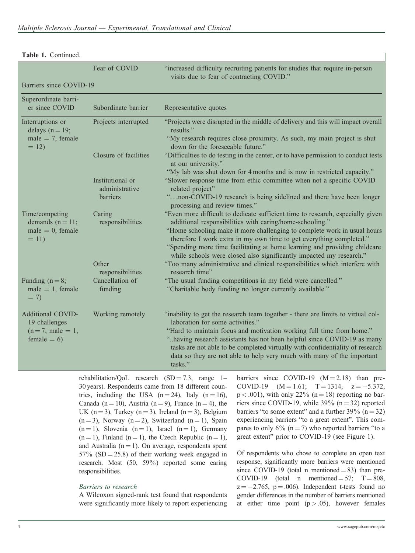| Barriers since COVID-19                                                 | r var vi UV v ill                  | increased unneancy recruiting patients for sudites that require in-person<br>visits due to fear of contracting COVID."                                                                                                                                                                                                |
|-------------------------------------------------------------------------|------------------------------------|-----------------------------------------------------------------------------------------------------------------------------------------------------------------------------------------------------------------------------------------------------------------------------------------------------------------------|
|                                                                         |                                    |                                                                                                                                                                                                                                                                                                                       |
| Superordinate barri-<br>er since COVID                                  | Subordinate barrier                | Representative quotes                                                                                                                                                                                                                                                                                                 |
| Interruptions or<br>delays $(n = 19)$ ;                                 | Projects interrupted               | "Projects were disrupted in the middle of delivery and this will impact overall<br>results."                                                                                                                                                                                                                          |
| male = $7$ , female<br>$= 12$                                           |                                    | "My research requires close proximity. As such, my main project is shut<br>down for the foreseeable future."                                                                                                                                                                                                          |
|                                                                         | Closure of facilities              | "Difficulties to do testing in the center, or to have permission to conduct tests<br>at our university."                                                                                                                                                                                                              |
|                                                                         | Institutional or<br>administrative | "My lab was shut down for 4 months and is now in restricted capacity."<br>"Slower response time from ethic committee when not a specific COVID<br>related project"                                                                                                                                                    |
|                                                                         | barriers                           | "non-COVID-19 research is being sidelined and there have been longer<br>processing and review times."                                                                                                                                                                                                                 |
| Time/competing<br>demands $(n = 11)$ ;<br>$male = 0$ , female<br>$= 11$ | Caring<br>responsibilities         | "Even more difficult to dedicate sufficient time to research, especially given<br>additional responsibilities with caring/home-schooling."                                                                                                                                                                            |
|                                                                         |                                    | "Home schooling make it more challenging to complete work in usual hours<br>therefore I work extra in my own time to get everything completed."<br>"Spending more time facilitating at home learning and providing childcare<br>while schools were closed also significantly impacted my research."                   |
|                                                                         | Other<br>responsibilities          | "Too many administrative and clinical responsibilities which interfere with<br>research time"                                                                                                                                                                                                                         |
| Funding $(n=8)$ ;<br>$male = 1$ , female<br>$= 7$                       | Cancellation of<br>funding         | "The usual funding competitions in my field were cancelled."<br>"Charitable body funding no longer currently available."                                                                                                                                                                                              |
| <b>Additional COVID-</b><br>19 challenges                               | Working remotely                   | "inability to get the research team together - there are limits to virtual col-<br>laboration for some activities."                                                                                                                                                                                                   |
| $(n=7;$ male = 1,<br>female = $6$ )                                     |                                    | "Hard to maintain focus and motivation working full time from home."<br>"having research assistants has not been helpful since COVID-19 as many<br>tasks are not able to be completed virtually with confidentiality of research<br>data so they are not able to help very much with many of the important<br>tasks." |
|                                                                         |                                    | rehabilitation/OoL research $(SD=73$ range 1- barriers since COVID-19 $(M=2.18)$ than pre-                                                                                                                                                                                                                            |

Fear of  $CONID$  "increased difficulty requiring patients for studies that

Table 1. Continued.

rehabilitation/QoL research  $(SD = 7.3, \text{range } 1$ -30 years). Respondents came from 18 different countries, including the USA  $(n=24)$ , Italy  $(n=16)$ , Canada (n = 10), Austria (n = 9), France (n = 4), the UK (n = 3), Turkey (n = 3), Ireland (n = 3), Belgium  $(n=3)$ , Norway  $(n=2)$ , Switzerland  $(n=1)$ , Spain  $(n = 1)$ , Slovenia  $(n = 1)$ , Israel  $(n = 1)$ , Germany  $(n = 1)$ , Finland  $(n = 1)$ , the Czech Republic  $(n = 1)$ , and Australia  $(n = 1)$ . On average, respondents spent  $57\%$  (SD = 25.8) of their working week engaged in research. Most (50, 59%) reported some caring responsibilities.

#### Barriers to research

A Wilcoxon signed-rank test found that respondents were significantly more likely to report experiencing

barriers since COVID-19  $(M = 2.18)$  than pre-COVID-19 (M = 1.61; T = 1314, z = -5.372,  $p < .001$ ), with only 22% (n = 18) reporting no barriers since COVID-19, while  $39\%$  (n = 32) reported barriers "to some extent" and a further  $39\%$  (n = 32) experiencing barriers "to a great extent". This compares to only  $6\%$  (n = 7) who reported barriers "to a great extent" prior to COVID-19 (see Figure 1).

Of respondents who chose to complete an open text response, significantly more barriers were mentioned since COVID-19 (total n mentioned  $= 83$ ) than pre-COVID-19 (total n mentioned  $= 57$ ; T  $= 808$ ,  $z = -2.765$ ,  $p = .006$ ). Independent t-tests found no gender differences in the number of barriers mentioned at either time point  $(p > .05)$ , however females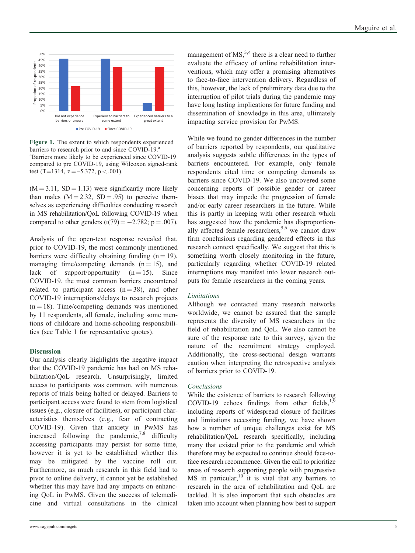

Figure 1. The extent to which respondents experienced barriers to research prior to and since COVID-19.<sup>a</sup> a Barriers more likely to be experienced since COVID-19 compared to pre COVID-19, using Wilcoxon signed-rank test (T=1314, z = -5.372, p < .001).

 $(M = 3.11, SD = 1.13)$  were significantly more likely than males  $(M = 2.32, SD = .95)$  to perceive themselves as experiencing difficulties conducting research in MS rehabilitation/QoL following COVID-19 when compared to other genders  $(t(79) = -2.782; p = .007)$ .

Analysis of the open-text response revealed that, prior to COVID-19, the most commonly mentioned barriers were difficulty obtaining funding  $(n = 19)$ , managing time/competing demands  $(n = 15)$ , and lack of support/opportunity  $(n = 15)$ . Since COVID-19, the most common barriers encountered related to participant access  $(n = 38)$ , and other COVID-19 interruptions/delays to research projects  $(n = 18)$ . Time/competing demands was mentioned by 11 respondents, all female, including some mentions of childcare and home-schooling responsibilities (see Table 1 for representative quotes).

#### **Discussion**

Our analysis clearly highlights the negative impact that the COVID-19 pandemic has had on MS rehabilitation/QoL research. Unsurprisingly, limited access to participants was common, with numerous reports of trials being halted or delayed. Barriers to participant access were found to stem from logistical issues (e.g., closure of facilities), or participant characteristics themselves (e.g., fear of contracting COVID-19). Given that anxiety in PwMS has increased following the pandemic, $^{7,8}$  difficulty accessing participants may persist for some time, however it is yet to be established whether this may be mitigated by the vaccine roll out. Furthermore, as much research in this field had to pivot to online delivery, it cannot yet be established whether this may have had any impacts on enhancing QoL in PwMS. Given the success of telemedicine and virtual consultations in the clinical

management of  $MS<sub>3,4</sub>$ , there is a clear need to further evaluate the efficacy of online rehabilitation interventions, which may offer a promising alternatives to face-to-face intervention delivery. Regardless of this, however, the lack of preliminary data due to the interruption of pilot trials during the pandemic may have long lasting implications for future funding and dissemination of knowledge in this area, ultimately impacting service provision for PwMS.

While we found no gender differences in the number of barriers reported by respondents, our qualitative analysis suggests subtle differences in the types of barriers encountered. For example, only female respondents cited time or competing demands as barriers since COVID-19. We also uncovered some concerning reports of possible gender or career biases that may impede the progression of female and/or early career researchers in the future. While this is partly in keeping with other research which has suggested how the pandemic has disproportionally affected female researchers,<sup>5,6</sup> we cannot draw firm conclusions regarding gendered effects in this research context specifically. We suggest that this is something worth closely monitoring in the future, particularly regarding whether COVID-19 related interruptions may manifest into lower research outputs for female researchers in the coming years.

#### Limitations

Although we contacted many research networks worldwide, we cannot be assured that the sample represents the diversity of MS researchers in the field of rehabilitation and QoL. We also cannot be sure of the response rate to this survey, given the nature of the recruitment strategy employed. Additionally, the cross-sectional design warrants caution when interpreting the retrospective analysis of barriers prior to COVID-19.

### Conclusions

While the existence of barriers to research following COVID-19 echoes findings from other fields, $1,9$ including reports of widespread closure of facilities and limitations accessing funding, we have shown how a number of unique challenges exist for MS rehabilitation/QoL research specifically, including many that existed prior to the pandemic and which therefore may be expected to continue should face-toface research recommence. Given the call to prioritize areas of research supporting people with progressive MS in particular, $10$  it is vital that any barriers to research in the area of rehabilitation and QoL are tackled. It is also important that such obstacles are taken into account when planning how best to support